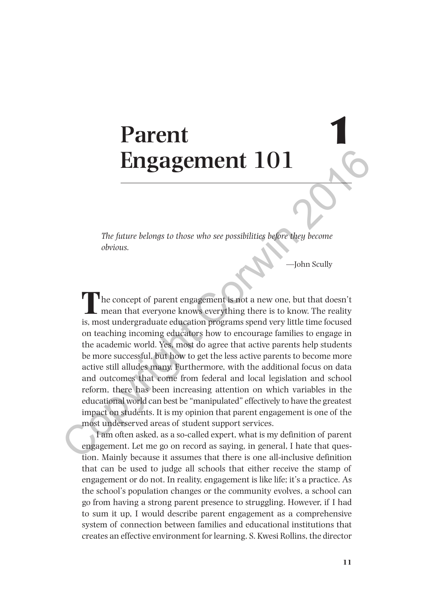# **Parent Engagement 101**

*The future belongs to those who see possibilities before they become obvious.*

—John Scully

The concept of parent engagement is not a new one, but that doesn't mean that everyone knows everything there is to know. The reality is, most undergraduate education programs spend very little time focused on teaching incoming educators how to encourage families to engage in the academic world. Yes, most do agree that active parents help students be more successful, but how to get the less active parents to become more active still alludes many. Furthermore, with the additional focus on data and outcomes that come from federal and local legislation and school reform, there has been increasing attention on which variables in the educational world can best be "manipulated" effectively to have the greatest impact on students. It is my opinion that parent engagement is one of the most underserved areas of student support services. **Engagement 101**<br>The future belongs to those who see possibilities before they become<br>obvious.<br>The concept of parent engagement is not a new one, but that doesn't<br>mean that everyone knows everything there is to know. The r

I am often asked, as a so-called expert, what is my definition of parent engagement. Let me go on record as saying, in general, I hate that question. Mainly because it assumes that there is one all-inclusive definition that can be used to judge all schools that either receive the stamp of engagement or do not. In reality, engagement is like life; it's a practice. As the school's population changes or the community evolves, a school can go from having a strong parent presence to struggling. However, if I had to sum it up, I would describe parent engagement as a comprehensive system of connection between families and educational institutions that creates an effective environment for learning. S. Kwesi Rollins, the director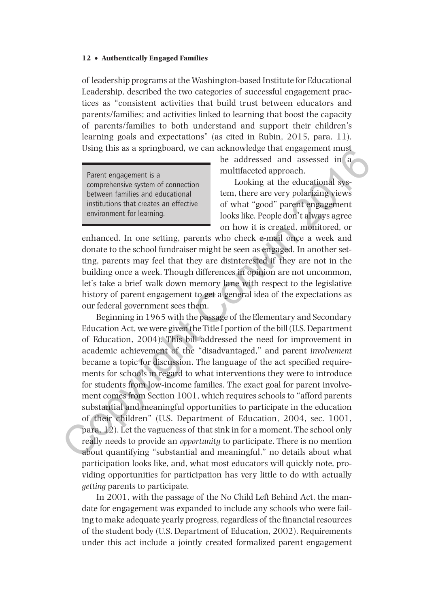of leadership programs at the Washington-based Institute for Educational Leadership, described the two categories of successful engagement practices as "consistent activities that build trust between educators and parents/families; and activities linked to learning that boost the capacity of parents/families to both understand and support their children's learning goals and expectations" (as cited in Rubin, 2015, para. 11). Using this as a springboard, we can acknowledge that engagement must

Parent engagement is a comprehensive system of connection between families and educational institutions that creates an effective environment for learning.

be addressed and assessed in a multifaceted approach.

Looking at the educational system, there are very polarizing views of what "good" parent engagement looks like. People don't always agree on how it is created, monitored, or

enhanced. In one setting, parents who check e-mail once a week and donate to the school fundraiser might be seen as engaged. In another setting, parents may feel that they are disinterested if they are not in the building once a week. Though differences in opinion are not uncommon, let's take a brief walk down memory lane with respect to the legislative history of parent engagement to get a general idea of the expectations as our federal government sees them.

Beginning in 1965 with the passage of the Elementary and Secondary Education Act, we were given the Title I portion of the bill (U.S. Department of Education, 2004). This bill addressed the need for improvement in academic achievement of the "disadvantaged," and parent *involvement* became a topic for discussion. The language of the act specified requirements for schools in regard to what interventions they were to introduce for students from low-income families. The exact goal for parent involvement comes from Section 1001, which requires schools to "afford parents substantial and meaningful opportunities to participate in the education of their children" (U.S. Department of Education, 2004, sec. 1001, para. 12). Let the vagueness of that sink in for a moment. The school only really needs to provide an *opportunity* to participate. There is no mention about quantifying "substantial and meaningful," no details about what participation looks like, and, what most educators will quickly note, providing opportunities for participation has very little to do with actually *getting* parents to participate. Using this as a spring<br>poard. we can be addressed and assessed in a motivation and the completion<br>in the connection and multifaceted approach.<br>
Cooking at the educational system of connection in the correlation<br>
tends of

In 2001, with the passage of the No Child Left Behind Act, the mandate for engagement was expanded to include any schools who were failing to make adequate yearly progress, regardless of the financial resources of the student body (U.S. Department of Education, 2002). Requirements under this act include a jointly created formalized parent engagement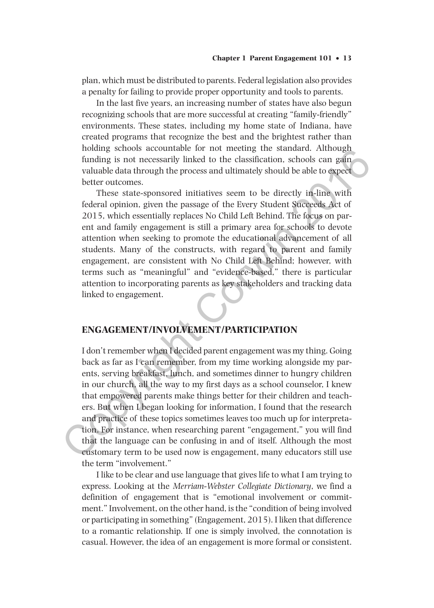plan, which must be distributed to parents. Federal legislation also provides a penalty for failing to provide proper opportunity and tools to parents.

In the last five years, an increasing number of states have also begun recognizing schools that are more successful at creating "family-friendly" environments. These states, including my home state of Indiana, have created programs that recognize the best and the brightest rather than holding schools accountable for not meeting the standard. Although funding is not necessarily linked to the classification, schools can gain valuable data through the process and ultimately should be able to expect better outcomes.

These state-sponsored initiatives seem to be directly in-line with federal opinion, given the passage of the Every Student Succeeds Act of 2015, which essentially replaces No Child Left Behind. The focus on parent and family engagement is still a primary area for schools to devote attention when seeking to promote the educational advancement of all students. Many of the constructs, with regard to parent and family engagement, are consistent with No Child Left Behind; however, with terms such as "meaningful" and "evidence-based," there is particular attention to incorporating parents as key stakeholders and tracking data linked to engagement.

# **ENGAGEMENT/INVOLVEMENT/PARTICIPATION**

I don't remember when I decided parent engagement was my thing. Going back as far as I can remember, from my time working alongside my parents, serving breakfast, lunch, and sometimes dinner to hungry children in our church, all the way to my first days as a school counselor, I knew that empowered parents make things better for their children and teachers. But when I began looking for information, I found that the research and practice of these topics sometimes leaves too much up for interpretation. For instance, when researching parent "engagement," you will find that the language can be confusing in and of itself. Although the most customary term to be used now is engagement, many educators still use the term "involvement." nouting scrooms accountable for not meeting the standard. Authough funding is not necessarily linked to the classification, schools can gain valuable data through the process and ultimately should be able to expect better

I like to be clear and use language that gives life to what I am trying to express. Looking at the *Merriam-Webster Collegiate Dictionary*, we find a definition of engagement that is "emotional involvement or commitment." Involvement, on the other hand, is the "condition of being involved or participating in something" (Engagement, 2015). I liken that difference to a romantic relationship. If one is simply involved, the connotation is casual. However, the idea of an engagement is more formal or consistent.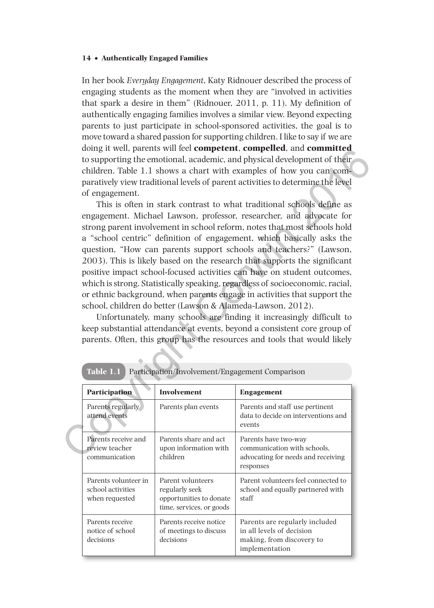In her book *Everyday Engagement*, Katy Ridnouer described the process of engaging students as the moment when they are "involved in activities that spark a desire in them" (Ridnouer, 2011, p. 11). My definition of authentically engaging families involves a similar view. Beyond expecting parents to just participate in school-sponsored activities, the goal is to move toward a shared passion for supporting children. I like to say if we are doing it well, parents will feel **competent**, **compelled**, and **committed** to supporting the emotional, academic, and physical development of their children. Table 1.1 shows a chart with examples of how you can comparatively view traditional levels of parent activities to determine the level of engagement.

This is often in stark contrast to what traditional schools define as engagement. Michael Lawson, professor, researcher, and advocate for strong parent involvement in school reform, notes that most schools hold a "school centric" definition of engagement, which basically asks the question, "How can parents support schools and teachers?" (Lawson, 2003). This is likely based on the research that supports the significant positive impact school-focused activities can have on student outcomes, which is strong. Statistically speaking, regardless of socioeconomic, racial, or ethnic background, when parents engage in activities that support the school, children do better (Lawson & Alameda-Lawson, 2012). orgy it was the particular competent. Competion, and **commuted**<br>to supporting the emotional, academic, and physical development of their<br>children. Table 1.1 shows a chart with examples of how you can com-<br>paratively view t

Unfortunately, many schools are finding it increasingly difficult to keep substantial attendance at events, beyond a consistent core group of parents. Often, this group has the resources and tools that would likely

|  | <b>Participation</b>                                        | <b>Involvement</b>                                                                         | <b>Engagement</b>                                                                                          |  |
|--|-------------------------------------------------------------|--------------------------------------------------------------------------------------------|------------------------------------------------------------------------------------------------------------|--|
|  | Parents regularly<br>attend events                          | Parents plan events                                                                        | Parents and staff use pertinent<br>data to decide on interventions and<br>events                           |  |
|  | Parents receive and<br>review teacher<br>communication      | Parents share and act<br>upon information with<br>children                                 | Parents have two-way<br>communication with schools.<br>advocating for needs and receiving<br>responses     |  |
|  | Parents volunteer in<br>school activities<br>when requested | Parent volunteers<br>regularly seek<br>opportunities to donate<br>time, services, or goods | Parent volunteers feel connected to<br>school and equally partnered with<br>staff                          |  |
|  | Parents receive<br>notice of school<br>decisions            | Parents receive notice<br>of meetings to discuss<br>decisions                              | Parents are regularly included<br>in all levels of decision<br>making, from discovery to<br>implementation |  |

| Table 1.1 Participation/Involvement/Engagement Comparison |
|-----------------------------------------------------------|
|                                                           |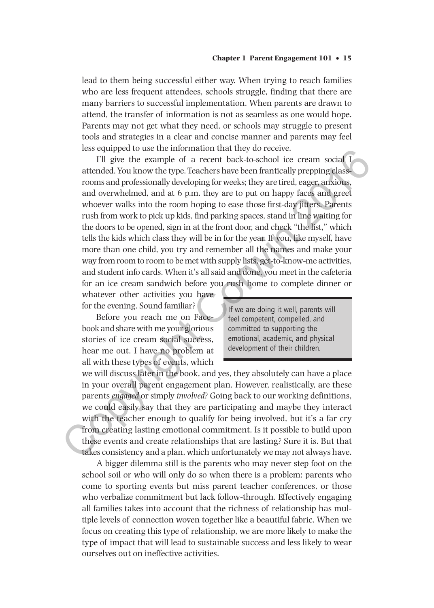lead to them being successful either way. When trying to reach families who are less frequent attendees, schools struggle, finding that there are many barriers to successful implementation. When parents are drawn to attend, the transfer of information is not as seamless as one would hope. Parents may not get what they need, or schools may struggle to present tools and strategies in a clear and concise manner and parents may feel less equipped to use the information that they do receive.

I'll give the example of a recent back-to-school ice cream social I attended. You know the type. Teachers have been frantically prepping classrooms and professionally developing for weeks; they are tired, eager, anxious, and overwhelmed, and at 6 p.m. they are to put on happy faces and greet whoever walks into the room hoping to ease those first-day jitters. Parents rush from work to pick up kids, find parking spaces, stand in line waiting for the doors to be opened, sign in at the front door, and check "the list," which tells the kids which class they will be in for the year. If you, like myself, have more than one child, you try and remember all the names and make your way from room to room to be met with supply lists, get-to-know-me activities, and student info cards. When it's all said and done, you meet in the cafeteria for an ice cream sandwich before you rush home to complete dinner or ess equiped to use the minomaton tratter (are on eccente.<br>
TII give the example of a recent back-to-school ice reaam social I<br>
attended. You know the type. Teachers have been frantically prepping class-<br>
rooms and professi

whatever other activities you have for the evening. Sound familiar?

Before you reach me on Facebook and share with me your glorious stories of ice cream social success, hear me out. I have no problem at all with these types of events, which If we are doing it well, parents will feel competent, compelled, and committed to supporting the emotional, academic, and physical development of their children.

we will discuss later in the book, and yes, they absolutely can have a place in your overall parent engagement plan. However, realistically, are these parents *engaged* or simply *involved*? Going back to our working definitions, we could easily say that they are participating and maybe they interact with the teacher enough to qualify for being involved, but it's a far cry from creating lasting emotional commitment. Is it possible to build upon these events and create relationships that are lasting? Sure it is. But that takes consistency and a plan, which unfortunately we may not always have.

A bigger dilemma still is the parents who may never step foot on the school soil or who will only do so when there is a problem: parents who come to sporting events but miss parent teacher conferences, or those who verbalize commitment but lack follow-through. Effectively engaging all families takes into account that the richness of relationship has multiple levels of connection woven together like a beautiful fabric. When we focus on creating this type of relationship, we are more likely to make the type of impact that will lead to sustainable success and less likely to wear ourselves out on ineffective activities.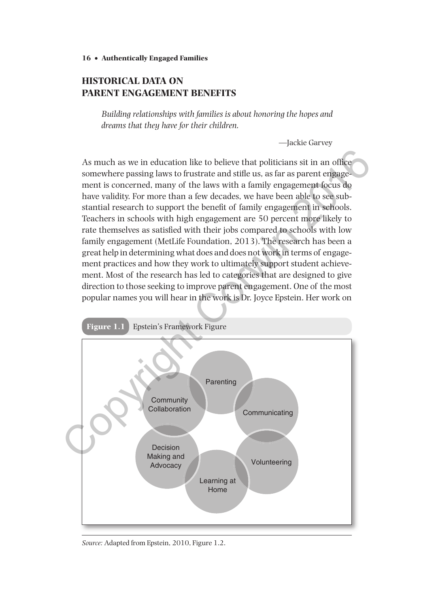# **HISTORICAL DATA ON PARENT ENGAGEMENT BENEFITS**

*Building relationships with families is about honoring the hopes and dreams that they have for their children.*

—Jackie Garvey

As much as we in education like to believe that politicians sit in an office somewhere passing laws to frustrate and stifle us, as far as parent engagement is concerned, many of the laws with a family engagement focus do have validity. For more than a few decades, we have been able to see substantial research to support the benefit of family engagement in schools. Teachers in schools with high engagement are 50 percent more likely to rate themselves as satisfied with their jobs compared to schools with low family engagement (MetLife Foundation, 2013). The research has been a great help in determining what does and does not work in terms of engagement practices and how they work to ultimately support student achievement. Most of the research has led to categories that are designed to give direction to those seeking to improve parent engagement. One of the most popular names you will hear in the work is Dr. Joyce Epstein. Her work on



*Source:* Adapted from Epstein, 2010, Figure 1.2.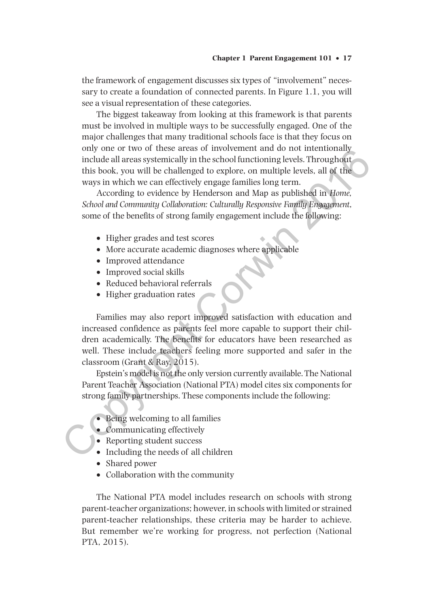#### **Chapter 1 Parent Engagement 101** • **17**

the framework of engagement discusses six types of "involvement" necessary to create a foundation of connected parents. In Figure 1.1, you will see a visual representation of these categories.

The biggest takeaway from looking at this framework is that parents must be involved in multiple ways to be successfully engaged. One of the major challenges that many traditional schools face is that they focus on only one or two of these areas of involvement and do not intentionally include all areas systemically in the school functioning levels. Throughout this book, you will be challenged to explore, on multiple levels, all of the ways in which we can effectively engage families long term.

According to evidence by Henderson and Map as published in *Home, School and Community Collaboration: Culturally Responsive Family Engagement*, some of the benefits of strong family engagement include the following:

- Higher grades and test scores
- •• More accurate academic diagnoses where applicable
- Improved attendance
- Improved social skills
- •• Reduced behavioral referrals
- Higher graduation rates

Families may also report improved satisfaction with education and increased confidence as parents feel more capable to support their children academically. The benefits for educators have been researched as well. These include teachers feeling more supported and safer in the classroom (Grant & Ray, 2015). of two of these areas of involvement and oo not mentionally<br>
include all areas systemically in the school functioning levels .<br>Throughout<br>
this book, you will be challenged to explore, on multiple levels, all of the<br>
ways

Epstein's model is not the only version currently available. The National Parent Teacher Association (National PTA) model cites six components for strong family partnerships. These components include the following:

- Being welcoming to all families
- Communicating effectively
- Reporting student success
- Including the needs of all children
- Shared power
- Collaboration with the community

The National PTA model includes research on schools with strong parent-teacher organizations; however, in schools with limited or strained parent-teacher relationships, these criteria may be harder to achieve. But remember we're working for progress, not perfection (National PTA, 2015).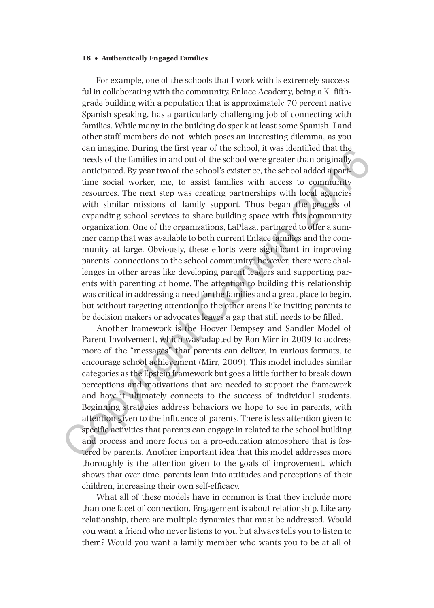For example, one of the schools that I work with is extremely successful in collaborating with the community. Enlace Academy, being a K–fifthgrade building with a population that is approximately 70 percent native Spanish speaking, has a particularly challenging job of connecting with families. While many in the building do speak at least some Spanish, I and other staff members do not, which poses an interesting dilemma, as you can imagine. During the first year of the school, it was identified that the needs of the families in and out of the school were greater than originally anticipated. By year two of the school's existence, the school added a parttime social worker, me, to assist families with access to community resources. The next step was creating partnerships with local agencies with similar missions of family support. Thus began the process of expanding school services to share building space with this community organization. One of the organizations, LaPlaza, partnered to offer a summer camp that was available to both current Enlace families and the community at large. Obviously, these efforts were significant in improving parents' connections to the school community; however, there were challenges in other areas like developing parent leaders and supporting parents with parenting at home. The attention to building this relationship was critical in addressing a need for the families and a great place to begin, but without targeting attention to the other areas like inviting parents to be decision makers or advocates leaves a gap that still needs to be filled. can imagne. During the inest year of the school, two such twas doentheed that the specified as peeds of the families in and out of the school were greater than originally anticipated. By year two of the school's existence,

Another framework is the Hoover Dempsey and Sandler Model of Parent Involvement, which was adapted by Ron Mirr in 2009 to address more of the "messages" that parents can deliver, in various formats, to encourage school achievement (Mirr, 2009). This model includes similar categories as the Epstein framework but goes a little further to break down perceptions and motivations that are needed to support the framework and how it ultimately connects to the success of individual students. Beginning strategies address behaviors we hope to see in parents, with attention given to the influence of parents. There is less attention given to specific activities that parents can engage in related to the school building and process and more focus on a pro-education atmosphere that is fostered by parents. Another important idea that this model addresses more thoroughly is the attention given to the goals of improvement, which shows that over time, parents lean into attitudes and perceptions of their children, increasing their own self-efficacy.

What all of these models have in common is that they include more than one facet of connection. Engagement is about relationship. Like any relationship, there are multiple dynamics that must be addressed. Would you want a friend who never listens to you but always tells you to listen to them? Would you want a family member who wants you to be at all of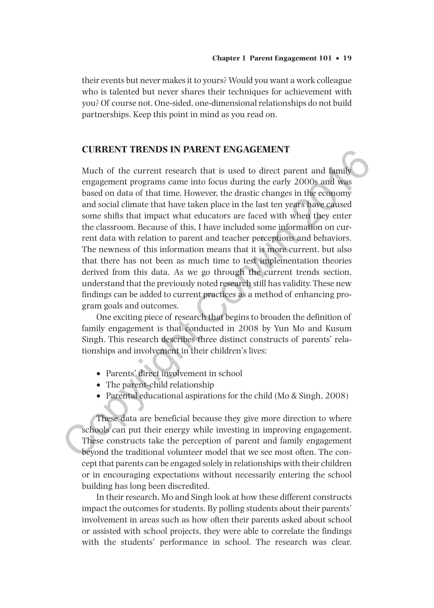their events but never makes it to yours? Would you want a work colleague who is talented but never shares their techniques for achievement with you? Of course not. One-sided, one-dimensional relationships do not build partnerships. Keep this point in mind as you read on.

## **CURRENT TRENDS IN PARENT ENGAGEMENT**

Much of the current research that is used to direct parent and family engagement programs came into focus during the early 2000s and was based on data of that time. However, the drastic changes in the economy and social climate that have taken place in the last ten years have caused some shifts that impact what educators are faced with when they enter the classroom. Because of this, I have included some information on current data with relation to parent and teacher perceptions and behaviors. The newness of this information means that it is more current, but also that there has not been as much time to test implementation theories derived from this data. As we go through the current trends section, understand that the previously noted research still has validity. These new findings can be added to current practices as a method of enhancing program goals and outcomes. **CURKENT TRENDS IN PARENT ENGAGEMENT**<br>
Much of the current research that is used to direct parent and family<br>
engagement programs came into locuse during the early 2000s and was<br>
based on data of that time. However, the d

One exciting piece of research that begins to broaden the definition of family engagement is that conducted in 2008 by Yun Mo and Kusum Singh. This research describes three distinct constructs of parents' relationships and involvement in their children's lives:

- •• Parents' direct involvement in school
- The parent-child relationship
- Parental educational aspirations for the child (Mo & Singh, 2008)

These data are beneficial because they give more direction to where schools can put their energy while investing in improving engagement. These constructs take the perception of parent and family engagement beyond the traditional volunteer model that we see most often. The concept that parents can be engaged solely in relationships with their children or in encouraging expectations without necessarily entering the school building has long been discredited.

In their research, Mo and Singh look at how these different constructs impact the outcomes for students. By polling students about their parents' involvement in areas such as how often their parents asked about school or assisted with school projects, they were able to correlate the findings with the students' performance in school. The research was clear.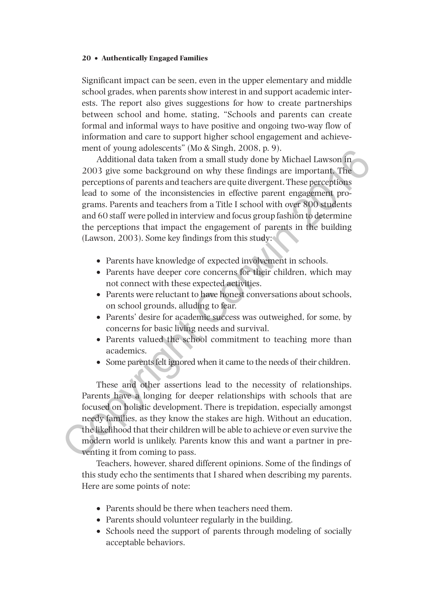Significant impact can be seen, even in the upper elementary and middle school grades, when parents show interest in and support academic interests. The report also gives suggestions for how to create partnerships between school and home, stating, "Schools and parents can create formal and informal ways to have positive and ongoing two-way flow of information and care to support higher school engagement and achievement of young adolescents" (Mo & Singh, 2008, p. 9).

Additional data taken from a small study done by Michael Lawson in 2003 give some background on why these findings are important. The perceptions of parents and teachers are quite divergent. These perceptions lead to some of the inconsistencies in effective parent engagement programs. Parents and teachers from a Title I school with over 800 students and 60 staff were polled in interview and focus group fashion to determine the perceptions that impact the engagement of parents in the building (Lawson, 2003). Some key findings from this study: mento young aconsects (wite simple, 2008, p. 9).<br>
Additional data taken from a small study done by Michael Lawson in<br>
2003 give some background on why these findings are important. The<br>
perceptions of parents and teachers

- Parents have knowledge of expected involvement in schools.
- Parents have deeper core concerns for their children, which may not connect with these expected activities.
- Parents were reluctant to have honest conversations about schools. on school grounds, alluding to fear.
- Parents' desire for academic success was outweighed, for some, by concerns for basic living needs and survival.
- •• Parents valued the school commitment to teaching more than academics.
- •• Some parents felt ignored when it came to the needs of their children.

These and other assertions lead to the necessity of relationships. Parents have a longing for deeper relationships with schools that are focused on holistic development. There is trepidation, especially amongst needy families, as they know the stakes are high. Without an education, the likelihood that their children will be able to achieve or even survive the modern world is unlikely. Parents know this and want a partner in preventing it from coming to pass.

Teachers, however, shared different opinions. Some of the findings of this study echo the sentiments that I shared when describing my parents. Here are some points of note:

- Parents should be there when teachers need them.
- Parents should volunteer regularly in the building.
- Schools need the support of parents through modeling of socially acceptable behaviors.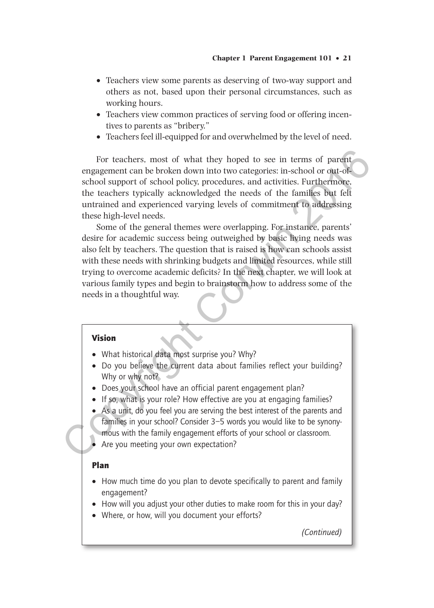- Teachers view some parents as deserving of two-way support and others as not, based upon their personal circumstances, such as working hours.
- Teachers view common practices of serving food or offering incentives to parents as "bribery."
- •• Teachers feel ill-equipped for and overwhelmed by the level of need.

For teachers, most of what they hoped to see in terms of parent engagement can be broken down into two categories: in-school or out-ofschool support of school policy, procedures, and activities. Furthermore, the teachers typically acknowledged the needs of the families but felt untrained and experienced varying levels of commitment to addressing these high-level needs.

Some of the general themes were overlapping. For instance, parents' desire for academic success being outweighed by basic living needs was also felt by teachers. The question that is raised is how can schools assist with these needs with shrinking budgets and limited resources, while still trying to overcome academic deficits? In the next chapter, we will look at various family types and begin to brainstorm how to address some of the needs in a thoughtful way. For teachers, most of what they hoped to see in terms of parent<br>engagement can be broken down into two categories: in-school or out-of-<br>school support of school policy, procedures, and activities. Eurithemore,<br>the teacher

#### Vision

- What historical data most surprise you? Why?
- Do you believe the current data about families reflect your building? Why or why not?
- Does your school have an official parent engagement plan?
- If so, what is your role? How effective are you at engaging families?
- As a unit, do you feel you are serving the best interest of the parents and families in your school? Consider 3–5 words you would like to be synonymous with the family engagement efforts of your school or classroom.
- Are you meeting your own expectation?

#### Plan

- How much time do you plan to devote specifically to parent and family engagement?
- How will you adjust your other duties to make room for this in your day?
- Where, or how, will you document your efforts?

*(Continued)*